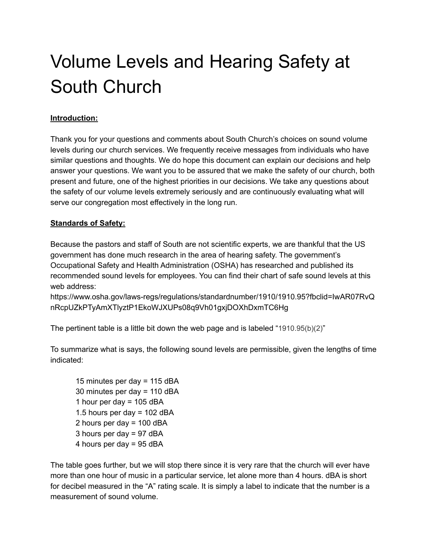# Volume Levels and Hearing Safety at South Church

## **Introduction:**

Thank you for your questions and comments about South Church's choices on sound volume levels during our church services. We frequently receive messages from individuals who have similar questions and thoughts. We do hope this document can explain our decisions and help answer your questions. We want you to be assured that we make the safety of our church, both present and future, one of the highest priorities in our decisions. We take any questions about the safety of our volume levels extremely seriously and are continuously evaluating what will serve our congregation most effectively in the long run.

### **Standards of Safety:**

Because the pastors and staff of South are not scientific experts, we are thankful that the US government has done much research in the area of hearing safety. The government's Occupational Safety and Health Administration (OSHA) has researched and published its recommended sound levels for employees. You can find their chart of safe sound levels at this web address:

https://www.osha.gov/laws-regs/regulations/standardnumber/1910/1910.95?fbclid=IwAR07RvQ nRcpUZkPTyAmXTlyztP1EkoWJXUPs08q9Vh01gxjDOXhDxmTC6Hg

The pertinent table is a little bit down the web page and is labeled "1910.95(b)(2)"

To summarize what is says, the following sound levels are permissible, given the lengths of time indicated:

 minutes per day = 115 dBA minutes per day = 110 dBA 1 hour per day  $= 105$  dBA 1.5 hours per day =  $102$  dBA hours per day = 100 dBA hours per day = 97 dBA hours per day = 95 dBA

The table goes further, but we will stop there since it is very rare that the church will ever have more than one hour of music in a particular service, let alone more than 4 hours. dBA is short for decibel measured in the "A" rating scale. It is simply a label to indicate that the number is a measurement of sound volume.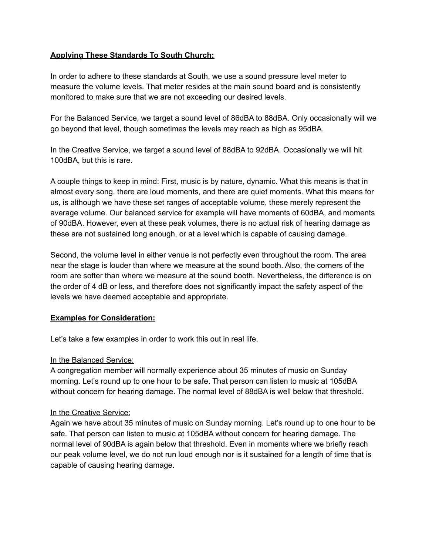#### **Applying These Standards To South Church:**

In order to adhere to these standards at South, we use a sound pressure level meter to measure the volume levels. That meter resides at the main sound board and is consistently monitored to make sure that we are not exceeding our desired levels.

For the Balanced Service, we target a sound level of 86dBA to 88dBA. Only occasionally will we go beyond that level, though sometimes the levels may reach as high as 95dBA.

In the Creative Service, we target a sound level of 88dBA to 92dBA. Occasionally we will hit 100dBA, but this is rare.

A couple things to keep in mind: First, music is by nature, dynamic. What this means is that in almost every song, there are loud moments, and there are quiet moments. What this means for us, is although we have these set ranges of acceptable volume, these merely represent the average volume. Our balanced service for example will have moments of 60dBA, and moments of 90dBA. However, even at these peak volumes, there is no actual risk of hearing damage as these are not sustained long enough, or at a level which is capable of causing damage.

Second, the volume level in either venue is not perfectly even throughout the room. The area near the stage is louder than where we measure at the sound booth. Also, the corners of the room are softer than where we measure at the sound booth. Nevertheless, the difference is on the order of 4 dB or less, and therefore does not significantly impact the safety aspect of the levels we have deemed acceptable and appropriate.

#### **Examples for Consideration:**

Let's take a few examples in order to work this out in real life.

#### In the Balanced Service:

A congregation member will normally experience about 35 minutes of music on Sunday morning. Let's round up to one hour to be safe. That person can listen to music at 105dBA without concern for hearing damage. The normal level of 88dBA is well below that threshold.

#### In the Creative Service:

Again we have about 35 minutes of music on Sunday morning. Let's round up to one hour to be safe. That person can listen to music at 105dBA without concern for hearing damage. The normal level of 90dBA is again below that threshold. Even in moments where we briefly reach our peak volume level, we do not run loud enough nor is it sustained for a length of time that is capable of causing hearing damage.